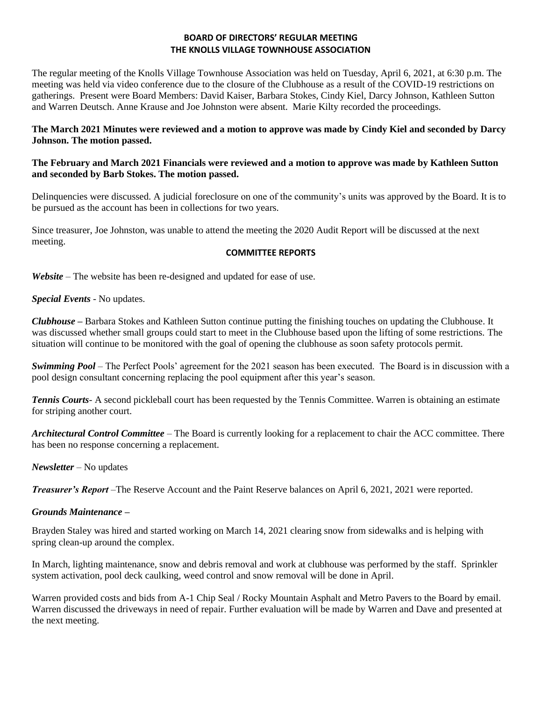## **BOARD OF DIRECTORS' REGULAR MEETING THE KNOLLS VILLAGE TOWNHOUSE ASSOCIATION**

The regular meeting of the Knolls Village Townhouse Association was held on Tuesday, April 6, 2021, at 6:30 p.m. The meeting was held via video conference due to the closure of the Clubhouse as a result of the COVID-19 restrictions on gatherings. Present were Board Members: David Kaiser, Barbara Stokes, Cindy Kiel, Darcy Johnson, Kathleen Sutton and Warren Deutsch. Anne Krause and Joe Johnston were absent. Marie Kilty recorded the proceedings.

# **The March 2021 Minutes were reviewed and a motion to approve was made by Cindy Kiel and seconded by Darcy Johnson. The motion passed.**

## **The February and March 2021 Financials were reviewed and a motion to approve was made by Kathleen Sutton and seconded by Barb Stokes. The motion passed.**

Delinquencies were discussed. A judicial foreclosure on one of the community's units was approved by the Board. It is to be pursued as the account has been in collections for two years.

Since treasurer, Joe Johnston, was unable to attend the meeting the 2020 Audit Report will be discussed at the next meeting.

## **COMMITTEE REPORTS**

*Website –* The website has been re-designed and updated for ease of use.

*Special Events* - No updates.

*Clubhouse* **–** Barbara Stokes and Kathleen Sutton continue putting the finishing touches on updating the Clubhouse. It was discussed whether small groups could start to meet in the Clubhouse based upon the lifting of some restrictions. The situation will continue to be monitored with the goal of opening the clubhouse as soon safety protocols permit.

*Swimming Pool* – The Perfect Pools' agreement for the 2021 season has been executed. The Board is in discussion with a pool design consultant concerning replacing the pool equipment after this year's season.

*Tennis Courts*- A second pickleball court has been requested by the Tennis Committee. Warren is obtaining an estimate for striping another court.

*Architectural Control Committee* – The Board is currently looking for a replacement to chair the ACC committee. There has been no response concerning a replacement.

*Newsletter* – No updates

*Treasurer's Report* –The Reserve Account and the Paint Reserve balances on April 6, 2021, 2021 were reported.

# *Grounds Maintenance* **–**

Brayden Staley was hired and started working on March 14, 2021 clearing snow from sidewalks and is helping with spring clean-up around the complex.

In March, lighting maintenance, snow and debris removal and work at clubhouse was performed by the staff. Sprinkler system activation, pool deck caulking, weed control and snow removal will be done in April.

Warren provided costs and bids from A-1 Chip Seal / Rocky Mountain Asphalt and Metro Pavers to the Board by email. Warren discussed the driveways in need of repair. Further evaluation will be made by Warren and Dave and presented at the next meeting.